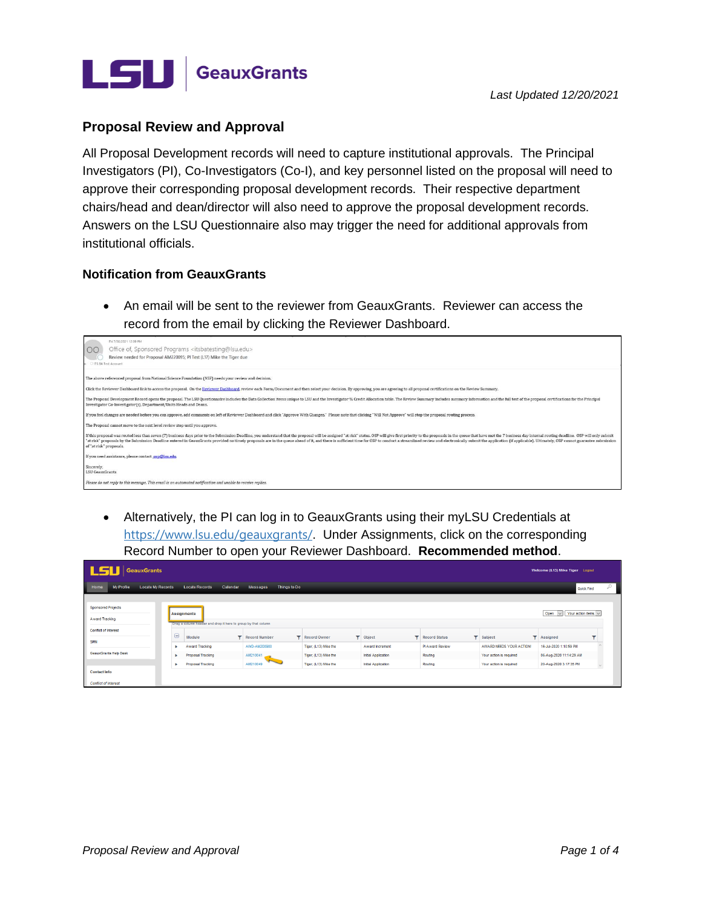

## **Proposal Review and Approval**

All Proposal Development records will need to capture institutional approvals. The Principal Investigators (PI), Co-Investigators (Co-I), and key personnel listed on the proposal will need to approve their corresponding proposal development records. Their respective department chairs/head and dean/director will also need to approve the proposal development records. Answers on the LSU Questionnaire also may trigger the need for additional approvals from institutional officials

## **Notification from GeauxGrants**

• An email will be sent to the reviewer from GeauxGrants. Reviewer can access the record from the email by clicking the Reviewer Dashboard.

| Fri 7/30/2021 12:09 PM                                                                                                                                                                                                                                                                                                                                                                                                                                                                      |
|---------------------------------------------------------------------------------------------------------------------------------------------------------------------------------------------------------------------------------------------------------------------------------------------------------------------------------------------------------------------------------------------------------------------------------------------------------------------------------------------|
| $\circ$<br>Office of, Sponsored Programs <itsbatesting@isu.edu></itsbatesting@isu.edu>                                                                                                                                                                                                                                                                                                                                                                                                      |
| Review needed for Proposal AM220095; PI Test (L17) Mike the Tiger due                                                                                                                                                                                                                                                                                                                                                                                                                       |
| O ITS BA Test Account                                                                                                                                                                                                                                                                                                                                                                                                                                                                       |
| The above referenced proposal from National Science Foundation (NSF) needs your review and decision.                                                                                                                                                                                                                                                                                                                                                                                        |
| Click the Reviewer Dashboard link to access the proposal. On the Reviewer Dashboard, review each Form/Document and then select your decision. By approving, you are agreeing to all proposal certifications on the Review Summ                                                                                                                                                                                                                                                              |
| The Proposal Development Record opens the proposal. The LSU Questionnaire includes the Data Collection items unique to LSU and the Investigator % Credit Allocation table. The Review Summary includes summary information and<br>Investigator Co-Investigator(s), Department/Units Heads and Deans.                                                                                                                                                                                        |
| If you feel changes are needed before you can approve, add comments on left of Reviewer Dashboard and click "Approve With Changes." Please note that clicking "Will Not Approve" will stop the proposal routing process.                                                                                                                                                                                                                                                                    |
| The Proposal cannot move to the next level review step until you approve.                                                                                                                                                                                                                                                                                                                                                                                                                   |
| If this proposal was routed less than seven (7) business days prior to the Submission Deadline, you understand that the proposal will be assigned "at risk" status. OSP will give first priority to the proposals in the queue<br>"at risk" proposals by the Submission Deadline entered in GeauxGrants provided no timely proposals are in the queue ahead of it, and there is sufficient time for OSP to conduct a streamlined review and electronically submi<br>of "at risk" proposals. |
| If you need assistance, please contact osp@isu.edu.                                                                                                                                                                                                                                                                                                                                                                                                                                         |
| Sincerely,<br><b>LSU</b> GeauxGrants                                                                                                                                                                                                                                                                                                                                                                                                                                                        |
| Please do not reply to this message. This email is an automated notification and unable to receive replies.                                                                                                                                                                                                                                                                                                                                                                                 |

• Alternatively, the PI can log in to GeauxGrants using their myLSU Credentials at https://www.lsu.edu/geauxgrants/. Under Assignments, click on the corresponding Record Number to open your Reviewer Dashboard. Recommended method.

| LS<br><b>GeauxGrants</b><br>Welcome (L13) Mike Tiger Logout                                                                                                                   |                         |                                        |                      |                                                |                                            |                      |                                                    |                                                   |  |
|-------------------------------------------------------------------------------------------------------------------------------------------------------------------------------|-------------------------|----------------------------------------|----------------------|------------------------------------------------|--------------------------------------------|----------------------|----------------------------------------------------|---------------------------------------------------|--|
| My Profile<br>Calendar<br>Home<br><b>Locate My Records</b><br><b>Locate Records</b><br>Things to Do<br>Messages<br><b>Quick Find</b>                                          |                         |                                        |                      |                                                |                                            |                      |                                                    | Q                                                 |  |
| <b>Sponsored Projects</b><br>Your action items $ $ $\vee$<br>Open<br>Assignments<br>$\vee$<br>Award Tracking<br>Drag a column header and drop it here to group by that column |                         |                                        |                      |                                                |                                            |                      |                                                    |                                                   |  |
| <b>Conflict of Interest</b>                                                                                                                                                   | $\overline{\mathbb{M}}$ | Module                                 | <b>Record Number</b> | <b>Record Owner</b>                            | Object                                     | <b>Record Status</b> | Subject                                            | <b>T</b> Assigned                                 |  |
| <b>SPIN</b><br><b>GeauxGrants Help Desk</b>                                                                                                                                   |                         | <b>Award Tracking</b>                  | AWD-AM200900         | Tiger, (L13) Mike the                          | Award Increment                            | PI Award Review      | AWARD NEEDS YOUR ACTION!                           | 16-Jul-2020 1:10:59 PM                            |  |
|                                                                                                                                                                               | ٠                       | Proposal Tracking<br>Proposal Tracking | AM210041<br>AM210049 | Tiger, (L13) Mike the<br>Tiger, (L13) Mike the | Initial Application<br>Initial Application | Routing<br>Routing   | Your action is required<br>Your action is required | 06-Aug-2020 11:14:29 AM<br>20-Aug-2020 3:17:35 PM |  |
| <b>Contact Info</b>                                                                                                                                                           |                         |                                        |                      |                                                |                                            |                      |                                                    |                                                   |  |
| Conflict of Interest                                                                                                                                                          |                         |                                        |                      |                                                |                                            |                      |                                                    |                                                   |  |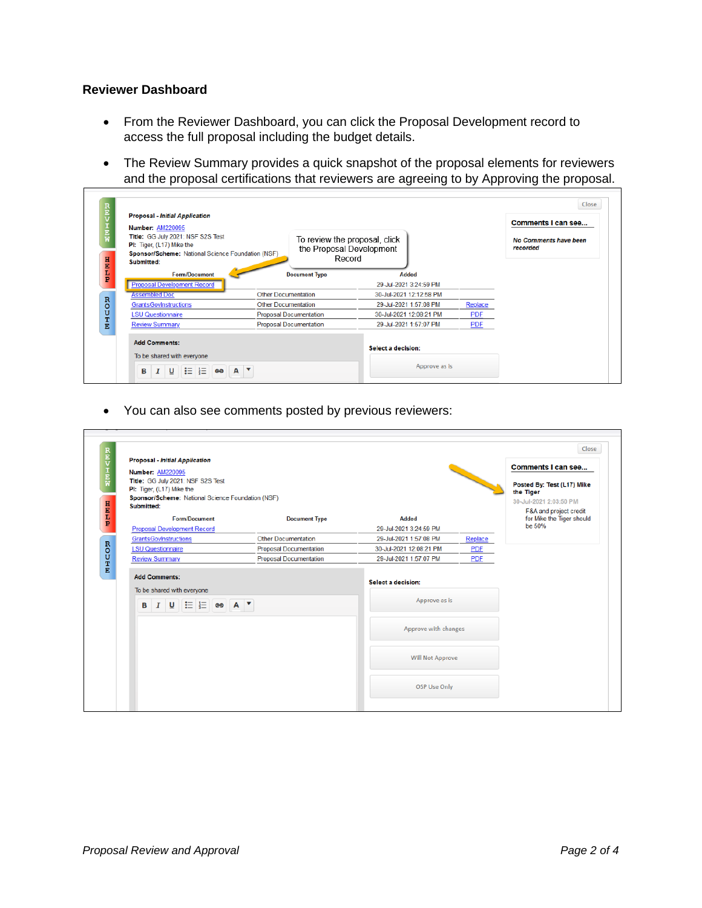## **Reviewer Dashboard**

- From the Reviewer Dashboard, you can click the Proposal Development record to access the full proposal including the budget details.
- The Review Summary provides a quick snapshot of the proposal elements for reviewers and the proposal certifications that reviewers are agreeing to by Approving the proposal.

| <b>Proposal - Initial Application</b><br><b>Number: AM220095</b>                                                                  |                               |                                                                     |            | <b>Comments I can see</b>         |
|-----------------------------------------------------------------------------------------------------------------------------------|-------------------------------|---------------------------------------------------------------------|------------|-----------------------------------|
| Title: GG July 2021: NSF S2S Test<br>PI: Tiger, (L17) Mike the<br>Sponsor/Scheme: National Science Foundation (NSF)<br>Submitted: |                               | To review the proposal, click<br>the Proposal Development<br>Record |            | No Comments have been<br>recorded |
| <b>Form/Document</b>                                                                                                              | <b>Document Type</b>          | Added                                                               |            |                                   |
| <b>Proposal Development Record</b>                                                                                                |                               | 29-Jul-2021 3:24:59 PM                                              |            |                                   |
| <b>Assembled Doc</b>                                                                                                              | <b>Other Documentation</b>    | 30-Jul-2021 12:12:58 PM                                             |            |                                   |
| <b>GrantsGovInstructions</b>                                                                                                      | <b>Other Documentation</b>    | 29-Jul-2021 1:57:08 PM                                              | Replace    |                                   |
| <b>LSU Questionnaire</b>                                                                                                          | <b>Proposal Documentation</b> | 30-Jul-2021 12:08:21 PM                                             | <b>PDF</b> |                                   |
| <b>Review Summary</b>                                                                                                             | <b>Proposal Documentation</b> | 29-Jul-2021 1:57:07 PM                                              | <b>PDF</b> |                                   |
| <b>Add Comments:</b><br>To be shared with everyone                                                                                |                               | <b>Select a decision:</b>                                           |            |                                   |

• You can also see comments posted by previous reviewers:

| <b>Number: AM220095</b>                                                                               |                               |                                     |            | <b>Comments I can see</b>               |
|-------------------------------------------------------------------------------------------------------|-------------------------------|-------------------------------------|------------|-----------------------------------------|
| Title: GG July 2021: NSF S2S Test<br>PI: Tiger, (L17) Mike the                                        |                               |                                     |            | Posted By: Test (L17) Mike<br>the Tiger |
| Sponsor/Scheme: National Science Foundation (NSF)                                                     |                               |                                     |            | 30-Jul-2021 2:03:50 PM                  |
| Submitted:                                                                                            |                               |                                     |            | F&A and project credit                  |
| <b>Form/Document</b>                                                                                  | <b>Document Type</b>          | Added                               |            | for Mike the Tiger should<br>be 50%     |
| <b>Proposal Development Record</b>                                                                    |                               | 29-Jul-2021 3:24:59 PM              |            |                                         |
| <b>GrantsGovInstructions</b>                                                                          | <b>Other Documentation</b>    | 29-Jul-2021 1:57:08 PM              | Replace    |                                         |
| <b>LSU Questionnaire</b>                                                                              | <b>Proposal Documentation</b> | 30-Jul-2021 12:08:21 PM             | <b>PDF</b> |                                         |
| <b>Review Summary</b>                                                                                 | <b>Proposal Documentation</b> | 29-Jul-2021 1:57:07 PM              | <b>PDF</b> |                                         |
| To be shared with everyone<br><b>B</b> $I \cup \equiv \equiv$ $\equiv$ $\Leftrightarrow$ A $\uparrow$ |                               | Select a decision:<br>Approve as is |            |                                         |
|                                                                                                       |                               |                                     |            |                                         |
|                                                                                                       |                               | Approve with changes                |            |                                         |
|                                                                                                       |                               | Will Not Approve                    |            |                                         |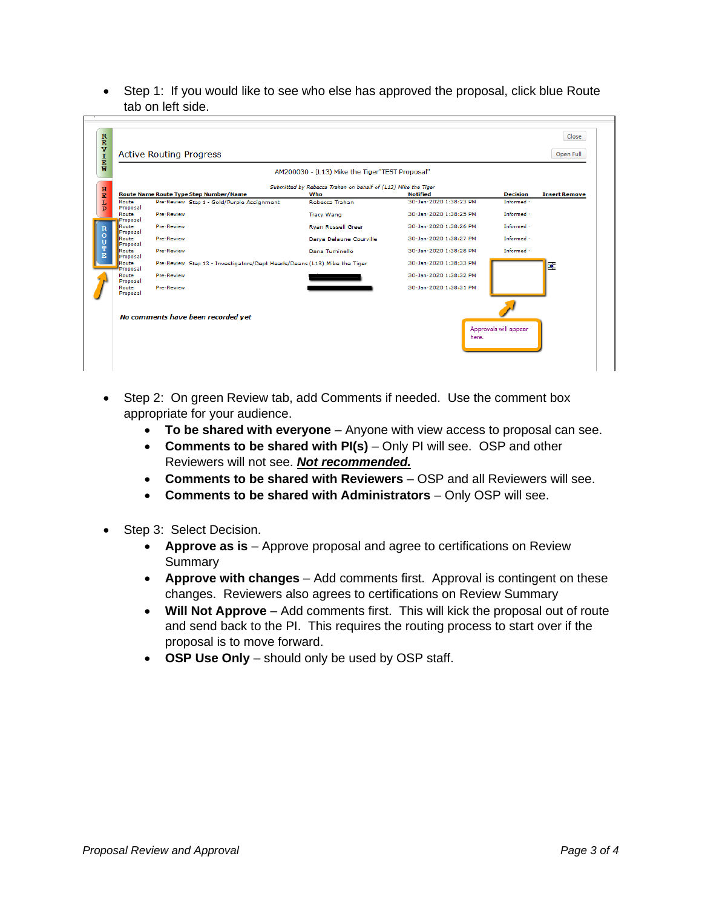• Step 1: If you would like to see who else has approved the proposal, click blue Route tab on left side.

| AM200030 - (L13) Mike the Tiger"TEST Proposal" |                                                                          |                                                                      |                        |                 |                      |  |
|------------------------------------------------|--------------------------------------------------------------------------|----------------------------------------------------------------------|------------------------|-----------------|----------------------|--|
|                                                | <b>Route Name Route Type Step Number/Name</b>                            | Submitted by Rebecca Trahan on behalf of (L13) Mike the Tiger<br>Who | <b>Notified</b>        | <b>Decision</b> | <b>Insert Remove</b> |  |
| Route<br>Proposal                              | Pre-Review Step 1 - Gold/Purple Assignment                               | Rebecca Trahan                                                       | 30-Jan-2020 1:38:23 PM | Informed-       |                      |  |
| Route<br>Proposal                              | Pre-Review                                                               | <b>Tracy Wang</b>                                                    | 30-Jan-2020 1:38:25 PM | Informed-       |                      |  |
| Route<br>Proposal                              | Pre-Review                                                               | <b>Ryan Russell Greer</b>                                            | 30-Jan-2020 1:38:26 PM | Informed-       |                      |  |
| Route<br>Proposal                              | Pre-Review                                                               | Darya Delaune Courville                                              | 30-Jan-2020 1:38:27 PM | Informed -      |                      |  |
| Route<br>Proposal                              | Pre-Review                                                               | Dana Tuminello                                                       | 30-Jan-2020 1:38:28 PM | Informed -      |                      |  |
| Route<br>Proposal                              | Pre-Review Step 13 - Investigators/Dept Heads/Deans (L13) Mike the Tiger |                                                                      | 30-Jan-2020 1:38:33 PM |                 | 匪                    |  |
| Route<br>Proposal                              | Pre-Review                                                               |                                                                      | 30-Jan-2020 1:38:32 PM |                 |                      |  |
| Route<br>Proposal                              | Pre-Review                                                               |                                                                      | 30-Jan-2020 1:38:31 PM |                 |                      |  |
|                                                | No comments have been recorded yet                                       |                                                                      |                        |                 |                      |  |

- Step 2: On green Review tab, add Comments if needed. Use the comment box appropriate for your audience.
	- **To be shared with everyone**  Anyone with view access to proposal can see.
	- **Comments to be shared with PI(s)**  Only PI will see. OSP and other Reviewers will not see. *Not recommended.*
	- **Comments to be shared with Reviewers**  OSP and all Reviewers will see.
	- **Comments to be shared with Administrators**  Only OSP will see.
- Step 3: Select Decision.
	- **Approve as is**  Approve proposal and agree to certifications on Review Summary
	- **Approve with changes**  Add comments first. Approval is contingent on these changes. Reviewers also agrees to certifications on Review Summary
	- **Will Not Approve**  Add comments first. This will kick the proposal out of route and send back to the PI. This requires the routing process to start over if the proposal is to move forward.
	- **OSP Use Only**  should only be used by OSP staff.